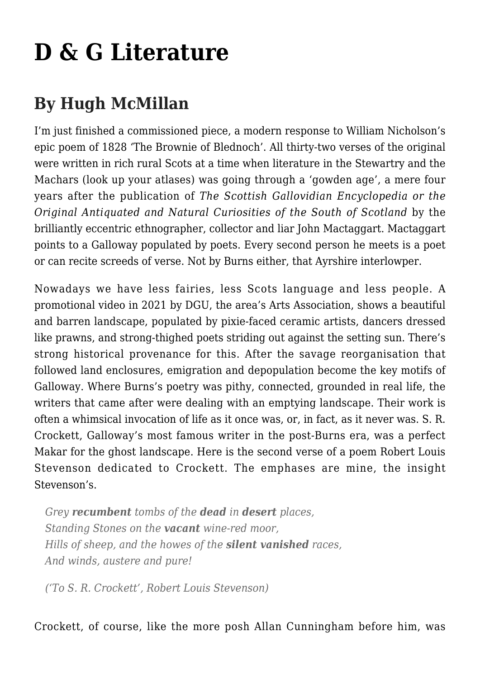## **[D & G Literature](https://www.thebottleimp.org.uk/2022/05/d-g-literature/)**

## **By Hugh McMillan**

I'm just finished a commissioned piece, a modern response to William Nicholson's epic poem of 1828 'The Brownie of Blednoch'. All thirty-two verses of the original were written in rich rural Scots at a time when literature in the Stewartry and the Machars (look up your atlases) was going through a 'gowden age', a mere four years after the publication of *The Scottish Gallovidian Encyclopedia or the Original Antiquated and Natural Curiosities of the South of Scotland* by the brilliantly eccentric ethnographer, collector and liar John Mactaggart. Mactaggart points to a Galloway populated by poets. Every second person he meets is a poet or can recite screeds of verse. Not by Burns either, that Ayrshire interlowper.

Nowadays we have less fairies, less Scots language and less people. A promotional video in 2021 by DGU, the area's Arts Association, shows a beautiful and barren landscape, populated by pixie-faced ceramic artists, dancers dressed like prawns, and strong-thighed poets striding out against the setting sun. There's strong historical provenance for this. After the savage reorganisation that followed land enclosures, emigration and depopulation become the key motifs of Galloway. Where Burns's poetry was pithy, connected, grounded in real life, the writers that came after were dealing with an emptying landscape. Their work is often a whimsical invocation of life as it once was, or, in fact, as it never was. S. R. Crockett, Galloway's most famous writer in the post-Burns era, was a perfect Makar for the ghost landscape. Here is the second verse of a poem Robert Louis Stevenson dedicated to Crockett. The emphases are mine, the insight Stevenson's.

*Grey recumbent tombs of the dead in desert places, Standing Stones on the vacant wine-red moor, Hills of sheep, and the howes of the silent vanished races, And winds, austere and pure!*

*('To S. R. Crockett', Robert Louis Stevenson)*

Crockett, of course, like the more posh Allan Cunningham before him, was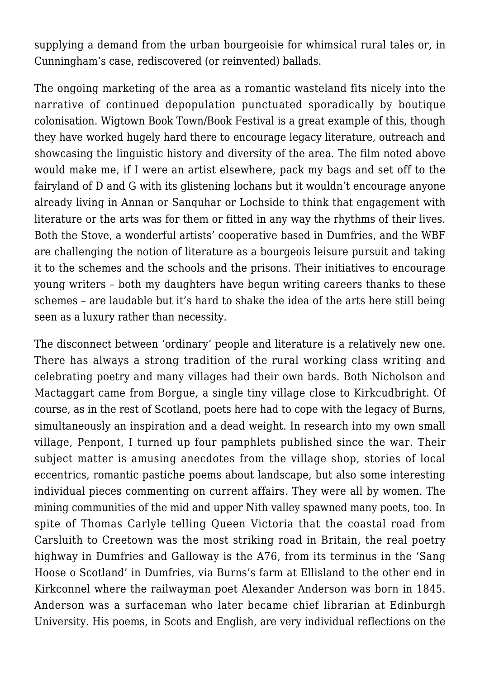supplying a demand from the urban bourgeoisie for whimsical rural tales or, in Cunningham's case, rediscovered (or reinvented) ballads.

The ongoing marketing of the area as a romantic wasteland fits nicely into the narrative of continued depopulation punctuated sporadically by boutique colonisation. Wigtown Book Town/Book Festival is a great example of this, though they have worked hugely hard there to encourage legacy literature, outreach and showcasing the linguistic history and diversity of the area. The film noted above would make me, if I were an artist elsewhere, pack my bags and set off to the fairyland of D and G with its glistening lochans but it wouldn't encourage anyone already living in Annan or Sanquhar or Lochside to think that engagement with literature or the arts was for them or fitted in any way the rhythms of their lives. Both the Stove, a wonderful artists' cooperative based in Dumfries, and the WBF are challenging the notion of literature as a bourgeois leisure pursuit and taking it to the schemes and the schools and the prisons. Their initiatives to encourage young writers – both my daughters have begun writing careers thanks to these schemes – are laudable but it's hard to shake the idea of the arts here still being seen as a luxury rather than necessity.

The disconnect between 'ordinary' people and literature is a relatively new one. There has always a strong tradition of the rural working class writing and celebrating poetry and many villages had their own bards. Both Nicholson and Mactaggart came from Borgue, a single tiny village close to Kirkcudbright. Of course, as in the rest of Scotland, poets here had to cope with the legacy of Burns, simultaneously an inspiration and a dead weight. In research into my own small village, Penpont, I turned up four pamphlets published since the war. Their subject matter is amusing anecdotes from the village shop, stories of local eccentrics, romantic pastiche poems about landscape, but also some interesting individual pieces commenting on current affairs. They were all by women. The mining communities of the mid and upper Nith valley spawned many poets, too. In spite of Thomas Carlyle telling Queen Victoria that the coastal road from Carsluith to Creetown was the most striking road in Britain, the real poetry highway in Dumfries and Galloway is the A76, from its terminus in the 'Sang Hoose o Scotland' in Dumfries, via Burns's farm at Ellisland to the other end in Kirkconnel where the railwayman poet Alexander Anderson was born in 1845. Anderson was a surfaceman who later became chief librarian at Edinburgh University. His poems, in Scots and English, are very individual reflections on the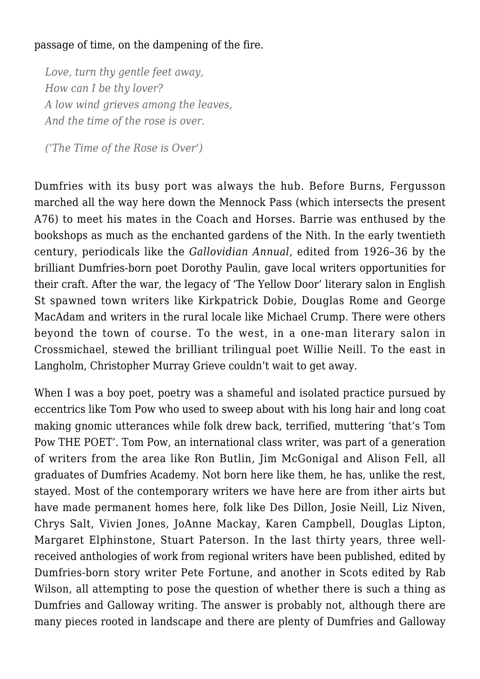## passage of time, on the dampening of the fire.

*Love, turn thy gentle feet away, How can I be thy lover? A low wind grieves among the leaves, And the time of the rose is over.*

*('The Time of the Rose is Over')*

Dumfries with its busy port was always the hub. Before Burns, Fergusson marched all the way here down the Mennock Pass (which intersects the present A76) to meet his mates in the Coach and Horses. Barrie was enthused by the bookshops as much as the enchanted gardens of the Nith. In the early twentieth century, periodicals like the *Gallovidian Annual*, edited from 1926–36 by the brilliant Dumfries-born poet Dorothy Paulin, gave local writers opportunities for their craft. After the war, the legacy of 'The Yellow Door' literary salon in English St spawned town writers like Kirkpatrick Dobie, Douglas Rome and George MacAdam and writers in the rural locale like Michael Crump. There were others beyond the town of course. To the west, in a one-man literary salon in Crossmichael, stewed the brilliant trilingual poet Willie Neill. To the east in Langholm, Christopher Murray Grieve couldn't wait to get away.

When I was a boy poet, poetry was a shameful and isolated practice pursued by eccentrics like Tom Pow who used to sweep about with his long hair and long coat making gnomic utterances while folk drew back, terrified, muttering 'that's Tom Pow THE POET'. Tom Pow, an international class writer, was part of a generation of writers from the area like Ron Butlin, Jim McGonigal and Alison Fell, all graduates of Dumfries Academy. Not born here like them, he has, unlike the rest, stayed. Most of the contemporary writers we have here are from ither airts but have made permanent homes here, folk like Des Dillon, Josie Neill, Liz Niven, Chrys Salt, Vivien Jones, JoAnne Mackay, Karen Campbell, Douglas Lipton, Margaret Elphinstone, Stuart Paterson. In the last thirty years, three wellreceived anthologies of work from regional writers have been published, edited by Dumfries-born story writer Pete Fortune, and another in Scots edited by Rab Wilson, all attempting to pose the question of whether there is such a thing as Dumfries and Galloway writing. The answer is probably not, although there are many pieces rooted in landscape and there are plenty of Dumfries and Galloway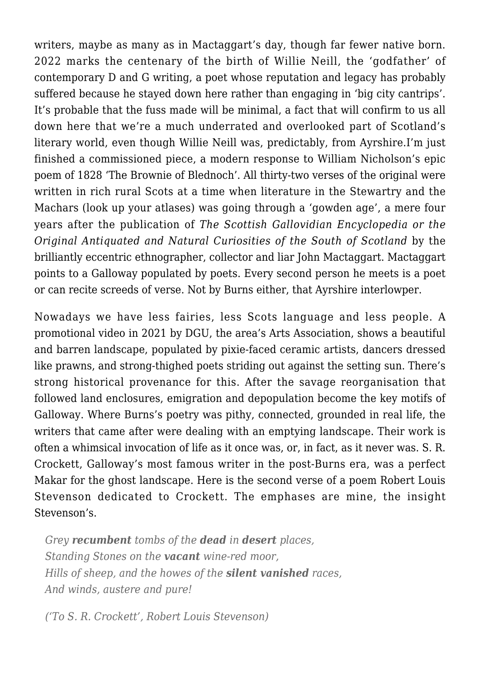writers, maybe as many as in Mactaggart's day, though far fewer native born. 2022 marks the centenary of the birth of Willie Neill, the 'godfather' of contemporary D and G writing, a poet whose reputation and legacy has probably suffered because he stayed down here rather than engaging in 'big city cantrips'. It's probable that the fuss made will be minimal, a fact that will confirm to us all down here that we're a much underrated and overlooked part of Scotland's literary world, even though Willie Neill was, predictably, from Ayrshire.I'm just finished a commissioned piece, a modern response to William Nicholson's epic poem of 1828 'The Brownie of Blednoch'. All thirty-two verses of the original were written in rich rural Scots at a time when literature in the Stewartry and the Machars (look up your atlases) was going through a 'gowden age', a mere four years after the publication of *The Scottish Gallovidian Encyclopedia or the Original Antiquated and Natural Curiosities of the South of Scotland* by the brilliantly eccentric ethnographer, collector and liar John Mactaggart. Mactaggart points to a Galloway populated by poets. Every second person he meets is a poet or can recite screeds of verse. Not by Burns either, that Ayrshire interlowper.

Nowadays we have less fairies, less Scots language and less people. A promotional video in 2021 by DGU, the area's Arts Association, shows a beautiful and barren landscape, populated by pixie-faced ceramic artists, dancers dressed like prawns, and strong-thighed poets striding out against the setting sun. There's strong historical provenance for this. After the savage reorganisation that followed land enclosures, emigration and depopulation become the key motifs of Galloway. Where Burns's poetry was pithy, connected, grounded in real life, the writers that came after were dealing with an emptying landscape. Their work is often a whimsical invocation of life as it once was, or, in fact, as it never was. S. R. Crockett, Galloway's most famous writer in the post-Burns era, was a perfect Makar for the ghost landscape. Here is the second verse of a poem Robert Louis Stevenson dedicated to Crockett. The emphases are mine, the insight Stevenson's.

*Grey recumbent tombs of the dead in desert places, Standing Stones on the vacant wine-red moor, Hills of sheep, and the howes of the silent vanished races, And winds, austere and pure!*

*('To S. R. Crockett', Robert Louis Stevenson)*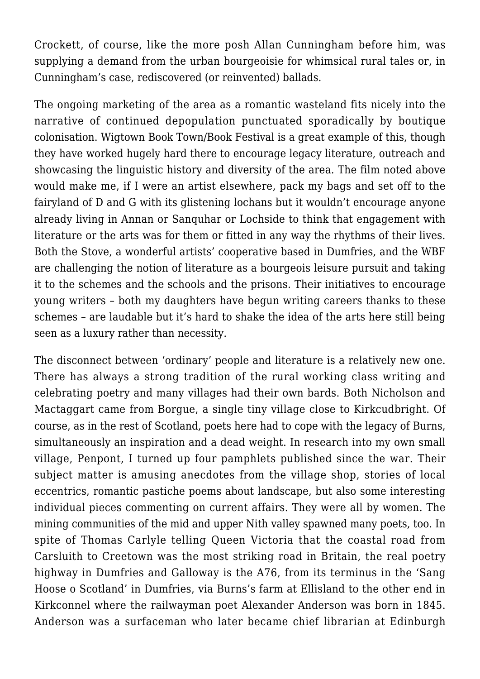Crockett, of course, like the more posh Allan Cunningham before him, was supplying a demand from the urban bourgeoisie for whimsical rural tales or, in Cunningham's case, rediscovered (or reinvented) ballads.

The ongoing marketing of the area as a romantic wasteland fits nicely into the narrative of continued depopulation punctuated sporadically by boutique colonisation. Wigtown Book Town/Book Festival is a great example of this, though they have worked hugely hard there to encourage legacy literature, outreach and showcasing the linguistic history and diversity of the area. The film noted above would make me, if I were an artist elsewhere, pack my bags and set off to the fairyland of D and G with its glistening lochans but it wouldn't encourage anyone already living in Annan or Sanquhar or Lochside to think that engagement with literature or the arts was for them or fitted in any way the rhythms of their lives. Both the Stove, a wonderful artists' cooperative based in Dumfries, and the WBF are challenging the notion of literature as a bourgeois leisure pursuit and taking it to the schemes and the schools and the prisons. Their initiatives to encourage young writers – both my daughters have begun writing careers thanks to these schemes – are laudable but it's hard to shake the idea of the arts here still being seen as a luxury rather than necessity.

The disconnect between 'ordinary' people and literature is a relatively new one. There has always a strong tradition of the rural working class writing and celebrating poetry and many villages had their own bards. Both Nicholson and Mactaggart came from Borgue, a single tiny village close to Kirkcudbright. Of course, as in the rest of Scotland, poets here had to cope with the legacy of Burns, simultaneously an inspiration and a dead weight. In research into my own small village, Penpont, I turned up four pamphlets published since the war. Their subject matter is amusing anecdotes from the village shop, stories of local eccentrics, romantic pastiche poems about landscape, but also some interesting individual pieces commenting on current affairs. They were all by women. The mining communities of the mid and upper Nith valley spawned many poets, too. In spite of Thomas Carlyle telling Queen Victoria that the coastal road from Carsluith to Creetown was the most striking road in Britain, the real poetry highway in Dumfries and Galloway is the A76, from its terminus in the 'Sang Hoose o Scotland' in Dumfries, via Burns's farm at Ellisland to the other end in Kirkconnel where the railwayman poet Alexander Anderson was born in 1845. Anderson was a surfaceman who later became chief librarian at Edinburgh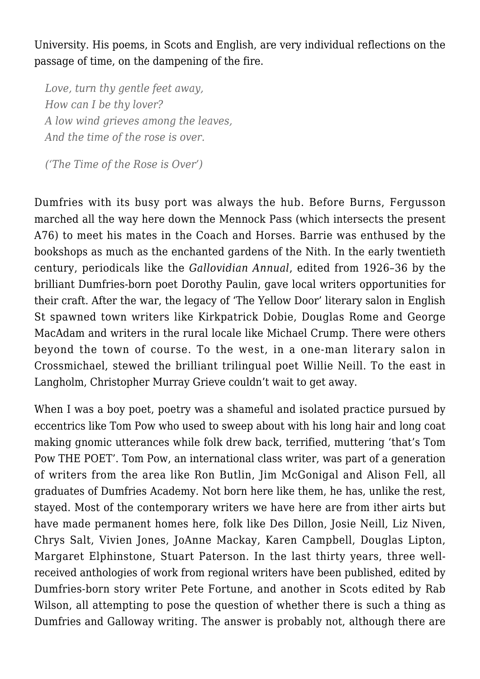University. His poems, in Scots and English, are very individual reflections on the passage of time, on the dampening of the fire.

*Love, turn thy gentle feet away, How can I be thy lover? A low wind grieves among the leaves, And the time of the rose is over.*

*('The Time of the Rose is Over')*

Dumfries with its busy port was always the hub. Before Burns, Fergusson marched all the way here down the Mennock Pass (which intersects the present A76) to meet his mates in the Coach and Horses. Barrie was enthused by the bookshops as much as the enchanted gardens of the Nith. In the early twentieth century, periodicals like the *Gallovidian Annual*, edited from 1926–36 by the brilliant Dumfries-born poet Dorothy Paulin, gave local writers opportunities for their craft. After the war, the legacy of 'The Yellow Door' literary salon in English St spawned town writers like Kirkpatrick Dobie, Douglas Rome and George MacAdam and writers in the rural locale like Michael Crump. There were others beyond the town of course. To the west, in a one-man literary salon in Crossmichael, stewed the brilliant trilingual poet Willie Neill. To the east in Langholm, Christopher Murray Grieve couldn't wait to get away.

When I was a boy poet, poetry was a shameful and isolated practice pursued by eccentrics like Tom Pow who used to sweep about with his long hair and long coat making gnomic utterances while folk drew back, terrified, muttering 'that's Tom Pow THE POET'. Tom Pow, an international class writer, was part of a generation of writers from the area like Ron Butlin, Jim McGonigal and Alison Fell, all graduates of Dumfries Academy. Not born here like them, he has, unlike the rest, stayed. Most of the contemporary writers we have here are from ither airts but have made permanent homes here, folk like Des Dillon, Josie Neill, Liz Niven, Chrys Salt, Vivien Jones, JoAnne Mackay, Karen Campbell, Douglas Lipton, Margaret Elphinstone, Stuart Paterson. In the last thirty years, three wellreceived anthologies of work from regional writers have been published, edited by Dumfries-born story writer Pete Fortune, and another in Scots edited by Rab Wilson, all attempting to pose the question of whether there is such a thing as Dumfries and Galloway writing. The answer is probably not, although there are